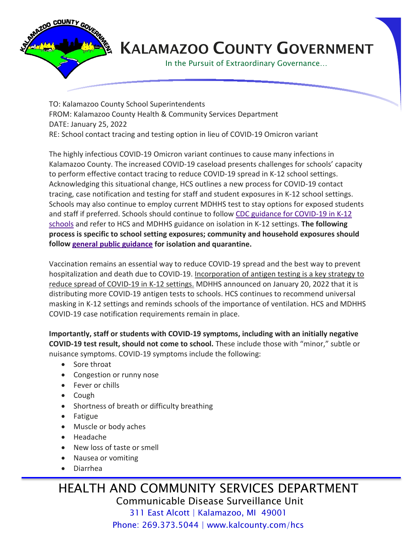

## KALAMAZOO COUNTY GOVERNMENT

In the Pursuit of Extraordinary Governance…

TO: Kalamazoo County School Superintendents FROM: Kalamazoo County Health & Community Services Department DATE: January 25, 2022 RE: School contact tracing and testing option in lieu of COVID-19 Omicron variant

The highly infectious COVID-19 Omicron variant continues to cause many infections in Kalamazoo County. The increased COVID-19 caseload presents challenges for schools' capacity to perform effective contact tracing to reduce COVID-19 spread in K-12 school settings. Acknowledging this situational change, HCS outlines a new process for COVID-19 contact tracing, case notification and testing for staff and student exposures in K-12 school settings. Schools may also continue to employ current MDHHS test to stay options for exposed students and staff if preferred. Schools should continue to follow [CDC guidance for COVID-19 in K-12](https://www.cdc.gov/coronavirus/2019-ncov/community/schools-childcare/k-12-guidance.html)  [schools](https://www.cdc.gov/coronavirus/2019-ncov/community/schools-childcare/k-12-guidance.html) and refer to HCS and MDHHS guidance on isolation in K-12 settings. **The following process is specific to school setting exposures; community and household exposures should follow [general public guidance](https://www.cdc.gov/coronavirus/2019-ncov/your-health/quarantine-isolation.html) for isolation and quarantine.**

Vaccination remains an essential way to reduce COVID-19 spread and the best way to prevent hospitalization and death due to COVID-19. Incorporation of antigen testing is a key strategy to reduce spread of COVID-19 in K-12 settings. MDHHS announced on January 20, 2022 that it is distributing more COVID-19 antigen tests to schools. HCS continues to recommend universal masking in K-12 settings and reminds schools of the importance of ventilation. HCS and MDHHS COVID-19 case notification requirements remain in place.

**Importantly, staff or students with COVID-19 symptoms, including with an initially negative COVID-19 test result, should not come to school.** These include those with "minor," subtle or nuisance symptoms. COVID-19 symptoms include the following:

- Sore throat
- Congestion or runny nose
- Fever or chills
- Cough
- Shortness of breath or difficulty breathing
- Fatigue
- Muscle or body aches
- Headache
- New loss of taste or smell
- Nausea or vomiting
- Diarrhea

HEALTH AND COMMUNITY SERVICES DEPARTMENT Communicable Disease Surveillance Unit 311 East Alcott | Kalamazoo, MI 49001 Phone: 269.373.5044 | www.kalcounty.com/hcs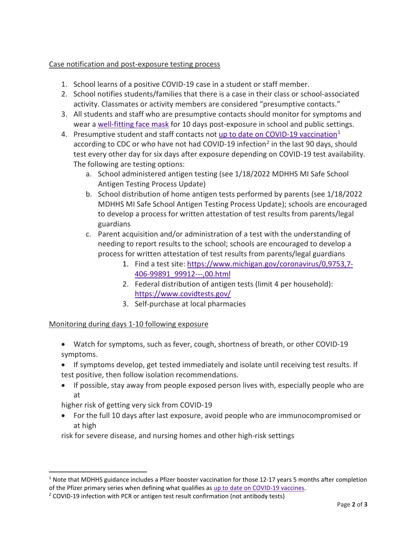## Case notification and post-exposure testing process

- 1. School learns of a positive COVID-19 case in a student or staff member.
- 2. School notifies students/families that there is a case in their class or school-associated activity. Classmates or activity members are considered "presumptive contacts."
- 3. All students and staff who are presumptive contacts should monitor for symptoms and wear [a well-fitting face mask](https://www.cdc.gov/coronavirus/2019-ncov/prevent-getting-sick/about-face-coverings.html#:%7E:text=To%20protect%20yourself%20and%20others,that%20you%20will%20wear%20consistently.) for 10 days post-exposure in school and public settings.
- 4. Presumptive student and staff contacts not [up to date on COVID-19 vaccination](https://www.cdc.gov/coronavirus/2019-ncov/vaccines/stay-up-to-date.html)<sup>[1](#page-1-0)</sup> according to CDC or who have not had COVID-19 infection<sup>[2](#page-1-1)</sup> in the last 90 days, should test every other day for six days after exposure depending on COVID-19 test availability. The following are testing options:
	- a. School administered antigen testing (see 1/18/2022 MDHHS MI Safe School Antigen Testing Process Update)
	- b. School distribution of home antigen tests performed by parents (see 1/18/2022 MDHHS MI Safe School Antigen Testing Process Update); schools are encouraged to develop a process for written attestation of test results from parents/legal guardians
	- c. Parent acquisition and/or administration of a test with the understanding of needing to report results to the school; schools are encouraged to develop a process for written attestation of test results from parents/legal guardians
		- 1. Find a test site: [https://www.michigan.gov/coronavirus/0,9753,7-](https://www.michigan.gov/coronavirus/0,9753,7-406-99891_99912---,00.html) [406-99891\\_99912---,00.html](https://www.michigan.gov/coronavirus/0,9753,7-406-99891_99912---,00.html)
		- 2. Federal distribution of antigen tests (limit 4 per household): <https://www.covidtests.gov/>
		- 3. Self-purchase at local pharmacies

## Monitoring during days 1-10 following exposure

- Watch for symptoms, such as fever, cough, shortness of breath, or other COVID-19 symptoms.
- If symptoms develop, get tested immediately and isolate until receiving test results. If test positive, then follow isolation recommendations.
- If possible, stay away from people exposed person lives with, especially people who are at

higher risk of getting very sick from COVID-19

• For the full 10 days after last exposure, avoid people who are immunocompromised or at high

risk for severe disease, and nursing homes and other high-risk settings

<span id="page-1-0"></span> $1$  Note that MDHHS guidance includes a Pfizer booster vaccination for those 12-17 years 5 months after completion of the Pfizer primary series when defining what qualifies as [up to date on COVID-19 vaccines.](https://www.cdc.gov/coronavirus/2019-ncov/vaccines/stay-up-to-date.html)

<span id="page-1-1"></span><sup>&</sup>lt;sup>2</sup> COVID-19 infection with PCR or antigen test result confirmation (not antibody tests)